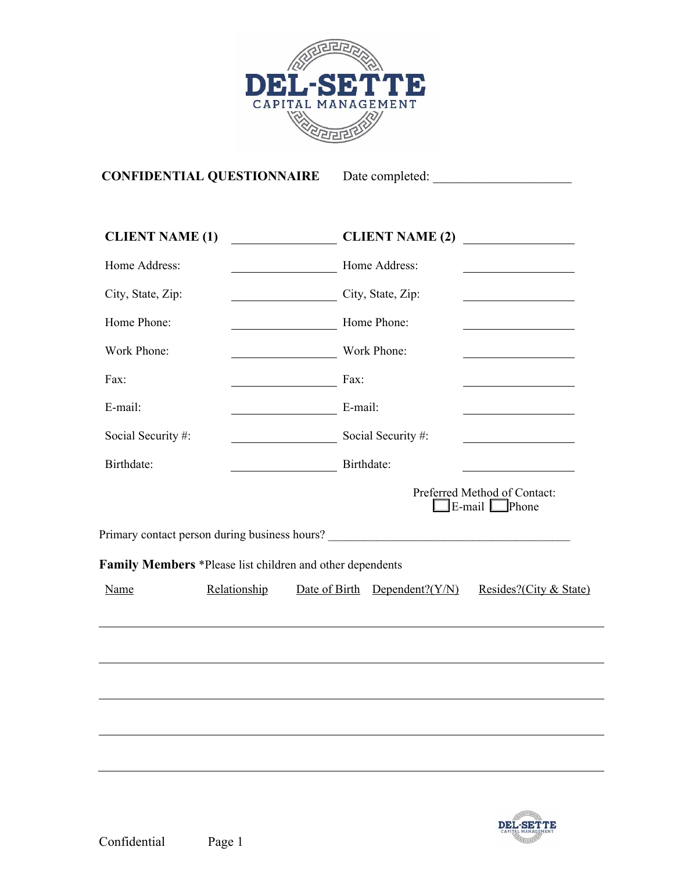

# **CONFIDENTIAL QUESTIONNAIRE** Date completed: \_\_\_\_\_\_\_\_\_\_\_\_\_\_\_\_\_\_\_\_\_

| <b>CLIENT NAME (1)</b> |              | <b>CLIENT NAME (2)</b>                                                            | <u> 1990 - Jan Stein Stein Stein Stein Stein Stein Stein Stein Stein Stein Stein Stein Stein Stein Stein Stein S</u> |
|------------------------|--------------|-----------------------------------------------------------------------------------|----------------------------------------------------------------------------------------------------------------------|
| Home Address:          |              | Home Address:<br><u> 1980 - John Barn Barn, mars ar breis an t-</u>               |                                                                                                                      |
| City, State, Zip:      |              | City, State, Zip:                                                                 |                                                                                                                      |
| Home Phone:            |              | Home Phone:                                                                       |                                                                                                                      |
| Work Phone:            |              | Work Phone:                                                                       |                                                                                                                      |
| Fax:                   |              | Fax:                                                                              |                                                                                                                      |
| E-mail:                |              | E-mail:                                                                           |                                                                                                                      |
| Social Security #:     |              | Social Security #:                                                                |                                                                                                                      |
| Birthdate:             |              | Birthdate:                                                                        |                                                                                                                      |
|                        |              |                                                                                   | Preferred Method of Contact:<br>$\mathbb{E}$ -mail $\Box$ Phone                                                      |
|                        |              | Primary contact person during business hours? ___________________________________ |                                                                                                                      |
|                        |              | Family Members *Please list children and other dependents                         |                                                                                                                      |
| Name                   | Relationship | Date of Birth Dependent? $(Y/N)$                                                  | Resides?(City & State)                                                                                               |
|                        |              |                                                                                   |                                                                                                                      |
|                        |              |                                                                                   |                                                                                                                      |
|                        |              |                                                                                   |                                                                                                                      |
|                        |              |                                                                                   |                                                                                                                      |
|                        |              |                                                                                   |                                                                                                                      |
|                        |              |                                                                                   |                                                                                                                      |
|                        |              |                                                                                   |                                                                                                                      |

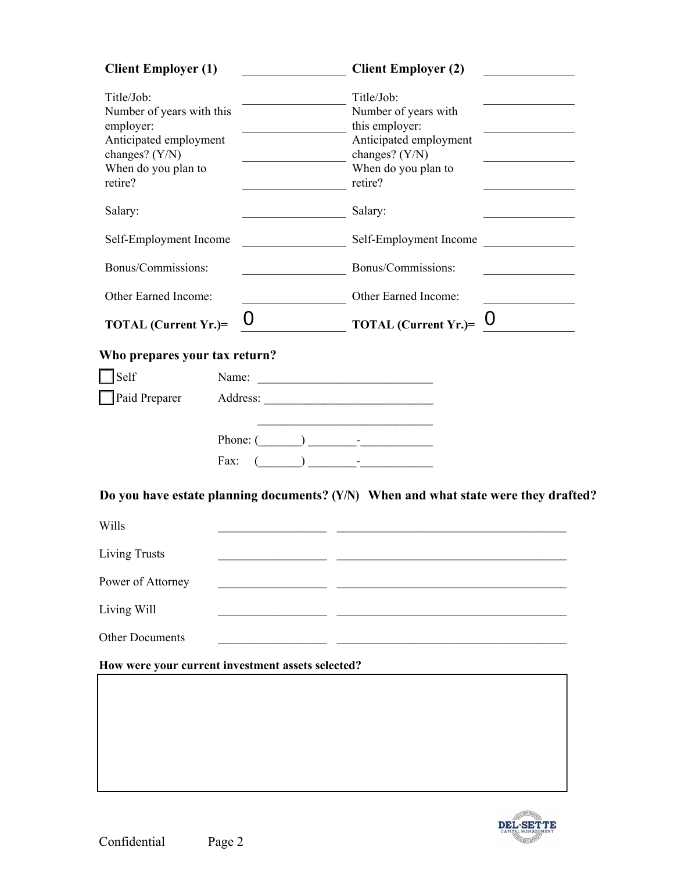| <b>Client Employer (1)</b>                                                                                                         | <b>Client Employer (2)</b>                                                                                                         |  |
|------------------------------------------------------------------------------------------------------------------------------------|------------------------------------------------------------------------------------------------------------------------------------|--|
| Title/Job:<br>Number of years with this<br>employer:<br>Anticipated employment<br>changes? (Y/N)<br>When do you plan to<br>retire? | Title/Job:<br>Number of years with<br>this employer:<br>Anticipated employment<br>changes? (Y/N)<br>When do you plan to<br>retire? |  |
| Salary:                                                                                                                            | Salary:                                                                                                                            |  |
| Self-Employment Income                                                                                                             | Self-Employment Income                                                                                                             |  |
| Bonus/Commissions:                                                                                                                 | Bonus/Commissions:                                                                                                                 |  |
| Other Earned Income:                                                                                                               | Other Earned Income:                                                                                                               |  |
| TOTAL (Current Yr.)=                                                                                                               | $\boldsymbol{0}$<br>$\overline{\text{TOTAL (Current Yr.)}} = 0$                                                                    |  |
| Who prepares your tax return?                                                                                                      |                                                                                                                                    |  |
| Self                                                                                                                               |                                                                                                                                    |  |
| Paid Preparer                                                                                                                      |                                                                                                                                    |  |
|                                                                                                                                    | Phone: $(\_\_\_\_\_\_\_\$<br>Fax: $(\_\_\_\_\_\_\$ -                                                                               |  |
|                                                                                                                                    | Do you have estate planning documents? (Y/N) When and what state were they drafted?                                                |  |
| Wills                                                                                                                              |                                                                                                                                    |  |
| <b>Living Trusts</b>                                                                                                               |                                                                                                                                    |  |
| Power of Attorney                                                                                                                  |                                                                                                                                    |  |
| Living Will                                                                                                                        |                                                                                                                                    |  |
| <b>Other Documents</b>                                                                                                             |                                                                                                                                    |  |
|                                                                                                                                    | How were your current investment assets selected?                                                                                  |  |
|                                                                                                                                    |                                                                                                                                    |  |
|                                                                                                                                    |                                                                                                                                    |  |

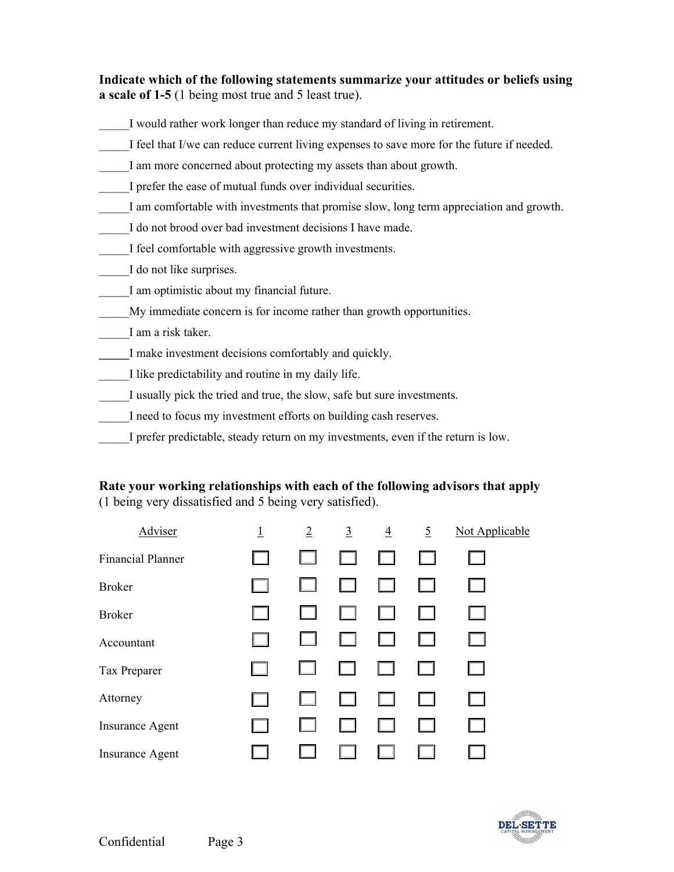**Indicate which of the following statements summarize your attitudes or beliefs using a scale of 1-5** (1 being most true and 5 least true).

- I would rather work longer than reduce my standard of living in retirement.
- I feel that I/we can reduce current living expenses to save more for the future if needed.
- I am more concerned about protecting my assets than about growth.
- I prefer the ease of mutual funds over individual securities.
- I am comfortable with investments that promise slow, long term appreciation and growth.
- I do not brood over bad investment decisions I have made.
- I feel comfortable with aggressive growth investments.
- I do not like surprises.
- I am optimistic about my financial future.
- My immediate concern is for income rather than growth opportunities.
- \_\_\_\_\_I am a risk taker.
- **\_\_\_\_\_**I make investment decisions comfortably and quickly.
- \_\_\_\_\_I like predictability and routine in my daily life.
- I usually pick the tried and true, the slow, safe but sure investments.
- I need to focus my investment efforts on building cash reserves.
- I prefer predictable, steady return on my investments, even if the return is low.

## **Rate your working relationships with each of the following advisors that apply**  (1 being very dissatisfied and 5 being very satisfied).

| Adviser                  | <u>1</u> | $\overline{2}$ | $\overline{3}$ | $\overline{4}$ | $\overline{5}$ | Not Applicable |
|--------------------------|----------|----------------|----------------|----------------|----------------|----------------|
| <b>Financial Planner</b> |          |                |                |                |                |                |
| <b>Broker</b>            |          |                |                |                |                |                |
| <b>Broker</b>            |          |                |                |                |                |                |
| Accountant               |          |                |                |                |                |                |
| Tax Preparer             |          |                |                |                | $\Box$         |                |
| Attorney                 |          |                |                |                |                |                |
| <b>Insurance Agent</b>   |          |                |                |                |                |                |
| <b>Insurance Agent</b>   |          |                |                |                |                |                |

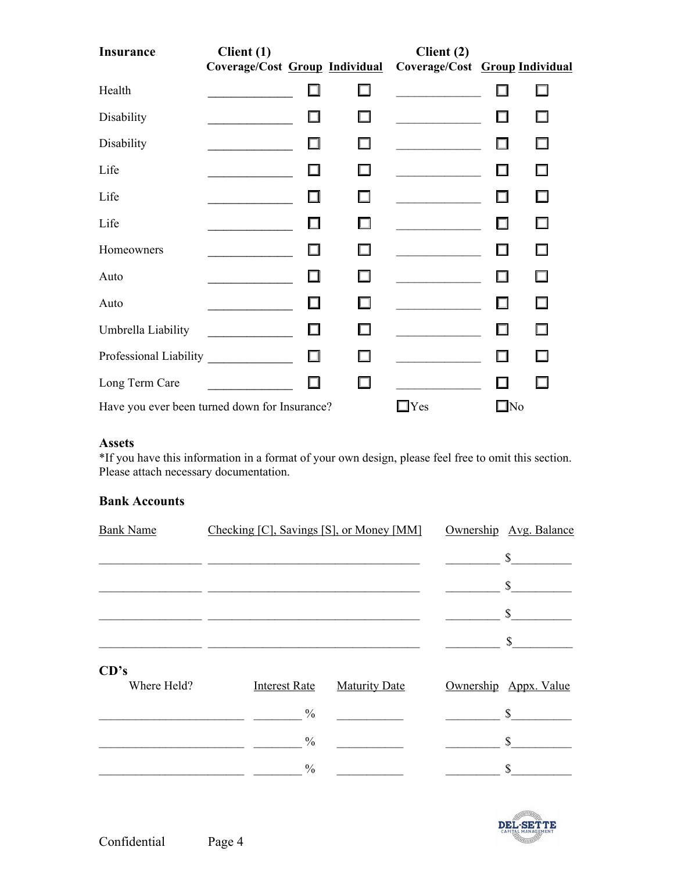| <b>Insurance</b>                              | Client (1)                     |        |        | Client (2)                     |              |    |
|-----------------------------------------------|--------------------------------|--------|--------|--------------------------------|--------------|----|
|                                               | Coverage/Cost Group Individual |        |        | Coverage/Cost Group Individual |              |    |
| Health                                        |                                |        |        |                                |              |    |
| Disability                                    |                                |        |        |                                |              | H  |
| Disability                                    |                                |        |        |                                | П            | П  |
| Life                                          |                                |        | n      |                                | П            | П  |
| Life                                          |                                |        |        |                                | п            | ш  |
| Life                                          |                                |        |        |                                | . .          | П  |
| Homeowners                                    |                                | H      | $\sim$ |                                |              | П  |
| Auto                                          |                                |        |        |                                | П            | П  |
| Auto                                          |                                |        |        |                                | ш            | l. |
| Umbrella Liability                            |                                | $\Box$ |        |                                | . .          | H  |
| Professional Liability                        |                                | □      |        |                                | ш            |    |
| Long Term Care                                |                                |        |        |                                |              |    |
| Have you ever been turned down for Insurance? |                                |        |        | $\Box$ Yes                     | $\square$ No |    |

## **Assets**

\*If you have this information in a format of your own design, please feel free to omit this section. Please attach necessary documentation.

#### **Bank Accounts**

| <b>Bank Name</b> | Checking [C], Savings [S], or Money [MM] |                      | Ownership Avg. Balance |
|------------------|------------------------------------------|----------------------|------------------------|
|                  |                                          |                      | \$                     |
|                  |                                          |                      | \$                     |
|                  |                                          |                      | $\mathbb{S}$           |
|                  |                                          |                      | \$                     |
| CD's             |                                          |                      |                        |
| Where Held?      | <b>Interest Rate</b>                     | <b>Maturity Date</b> | Ownership Appx. Value  |
|                  | $\frac{0}{0}$                            |                      | $\mathbb{S}^-$         |
|                  | $\frac{0}{0}$                            |                      | \$                     |
|                  | $\frac{0}{0}$                            |                      | \$                     |

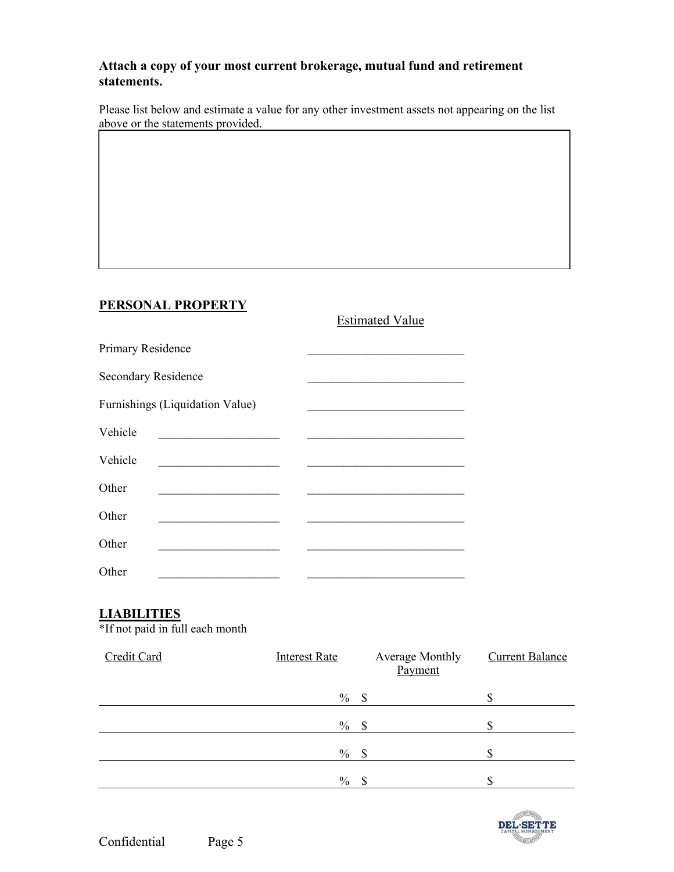## **Attach a copy of your most current brokerage, mutual fund and retirement statements.**

Please list below and estimate a value for any other investment assets not appearing on the list above or the statements provided.

## **PERSONAL PROPERTY**

|                            |                                 | <b>Estimated Value</b> |
|----------------------------|---------------------------------|------------------------|
| Primary Residence          |                                 |                        |
| <b>Secondary Residence</b> |                                 |                        |
|                            | Furnishings (Liquidation Value) |                        |
| Vehicle                    |                                 |                        |
| Vehicle                    |                                 |                        |
| Other                      |                                 |                        |
| Other                      |                                 |                        |
| Other                      |                                 |                        |
| Other                      |                                 |                        |

## **LIABILITIES**

\*If not paid in full each month

| Credit Card | <b>Interest Rate</b> | Average Monthly<br>Payment | <b>Current Balance</b> |
|-------------|----------------------|----------------------------|------------------------|
|             | $\%$                 | -\$                        |                        |
|             | $\%$                 | -S                         |                        |
|             | $\%$                 | $\mathcal{S}$              |                        |
|             | $\%$                 | \$.                        | ጦ                      |

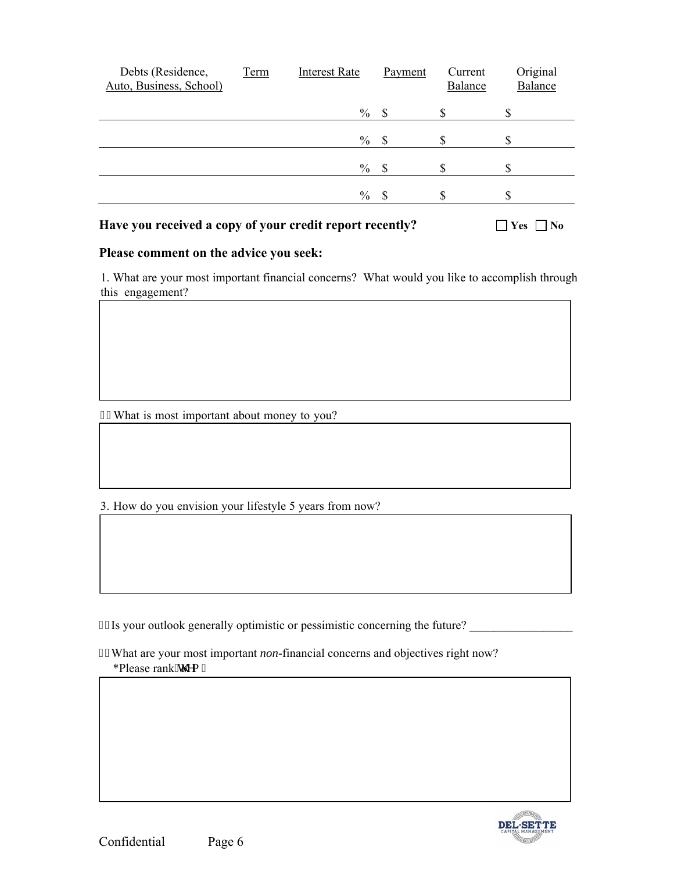| Debts (Residence,<br>Auto, Business, School) | <b>Term</b> | <b>Interest Rate</b> | Payment | Current<br>Balance | Original<br>Balance |
|----------------------------------------------|-------------|----------------------|---------|--------------------|---------------------|
|                                              |             | $\%$                 | S       | D                  | \$                  |
|                                              |             | $\%$                 | -8      |                    |                     |
|                                              |             | $\frac{0}{0}$        | -S      |                    |                     |
|                                              |             | $\frac{0}{0}$        | S       | ۰D                 | \$                  |
|                                              |             |                      |         |                    |                     |

**Have you received a copy of your credit report recently?**  $\Box$  Yes  $\Box$  No

## **Please comment on the advice you seek:**

 $\mathcal{L}_\text{max}$  and  $\mathcal{L}_\text{max}$  and  $\mathcal{L}_\text{max}$  and  $\mathcal{L}_\text{max}$ 

1. What are your most important financial concerns? What would you like to accomplish through this engagement?

 $\mathcal{L}_\mathcal{L} = \{ \mathcal{L}_\mathcal{L} = \{ \mathcal{L}_\mathcal{L} = \{ \mathcal{L}_\mathcal{L} = \{ \mathcal{L}_\mathcal{L} = \{ \mathcal{L}_\mathcal{L} = \{ \mathcal{L}_\mathcal{L} = \{ \mathcal{L}_\mathcal{L} = \{ \mathcal{L}_\mathcal{L} = \{ \mathcal{L}_\mathcal{L} = \{ \mathcal{L}_\mathcal{L} = \{ \mathcal{L}_\mathcal{L} = \{ \mathcal{L}_\mathcal{L} = \{ \mathcal{L}_\mathcal{L} = \{ \mathcal{L}_\mathcal{$ 

 $\Box$ \_\_\_\_\_\_\_\_\_\_\_\_\_\_\_\_\_\_\_\_\_\_\_\_\_\_\_\_\_\_\_\_\_\_\_\_\_\_\_\_\_\_\_\_\_\_\_\_\_\_\_\_\_\_\_\_\_\_\_\_\_\_\_\_\_\_\_\_\_\_\_\_\_\_\_\_\_\_

 $\Box$  , and the contribution of the contribution of the contribution of the contribution of  $\Box$ 

 $\overline{\phantom{a}}$  , and the contract of the contract of the contract of the contract of the contract of the contract of the contract of the contract of the contract of the contract of the contract of the contract of the contrac

What is most important about money to you?

3. How do you envision your lifestyle 5 years from now?

60Is your outlook generally optimistic or pessimistic concerning the future?

 What are your most important *non*-financial concerns and objectives right now? \*Please rank''y go 0

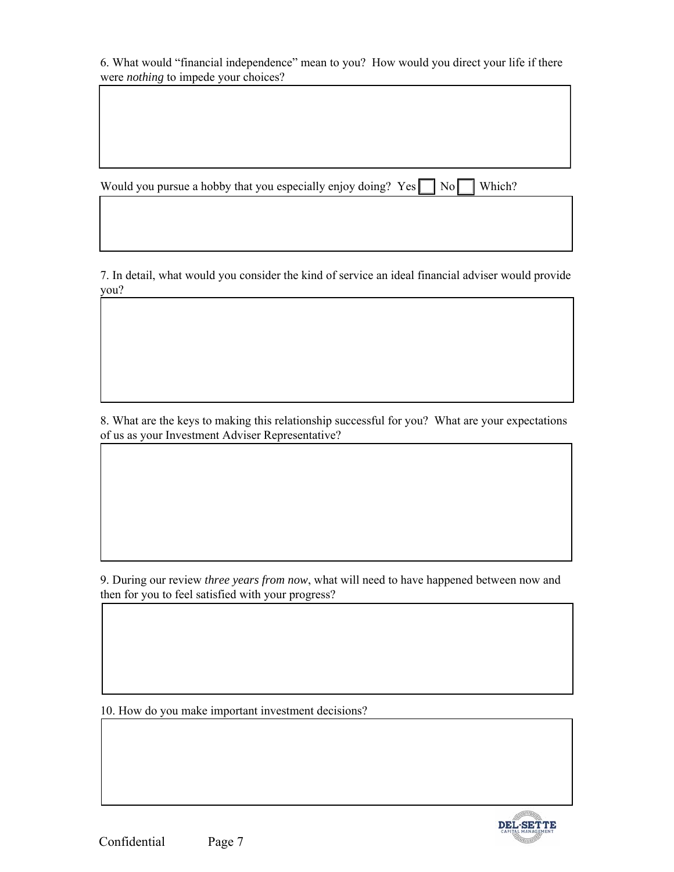6. What would "financial independence" mean to you? How would you direct your life if there were nothing to impede your choices?

Would you pursue a hobby that you especially enjoy doing? Yes No Which?

7. In detail, what would you consider the kind of service an ideal financial adviser would provide you?

8. What are the keys to making this relationship successful for you? What are your expectations of us as your Investment Adviser Representative?

9. During our review three years from now, what will need to have happened between now and then for you to feel satisfied with your progress?

10. How do you make important investment decisions?

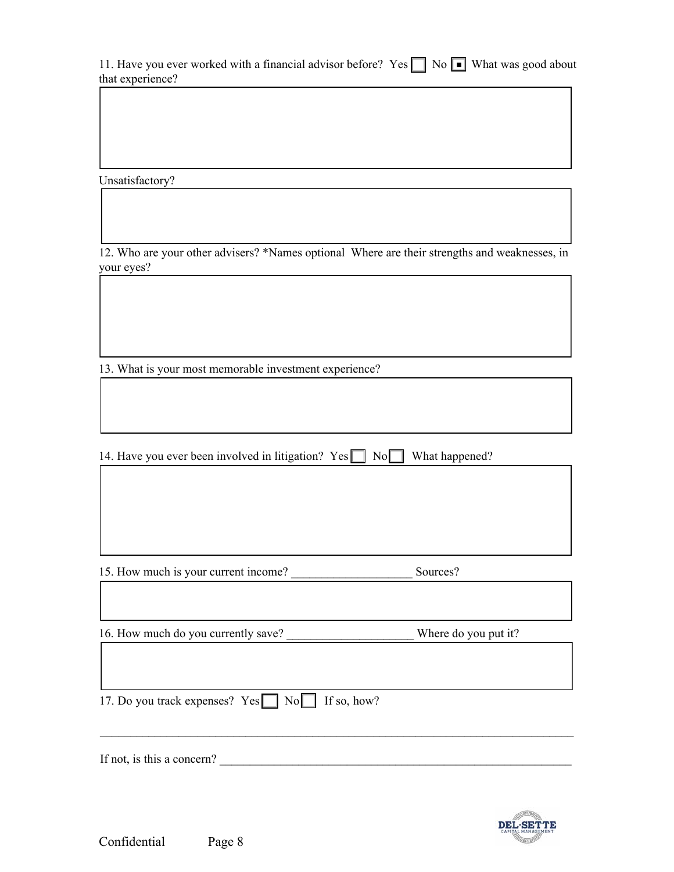| 11. Have you ever worked with a financial advisor before? Yes No I What was good about |  |  |
|----------------------------------------------------------------------------------------|--|--|
| that experience?                                                                       |  |  |

Unsatisfactory?

12. Who are your other advisers? \*Names optional Where are their strengths and weaknesses, in your eyes?

13. What is your most memorable investment experience?

14. Have you ever been involved in litigation?  $Yes \fbox{ No} \fbox{ No}$  What happened?

15. How much is your current income?

Sources?

16. How much do you currently save?

Where do you put it?

17. Do you track expenses? Yes No If so, how?

If not, is this a concern?